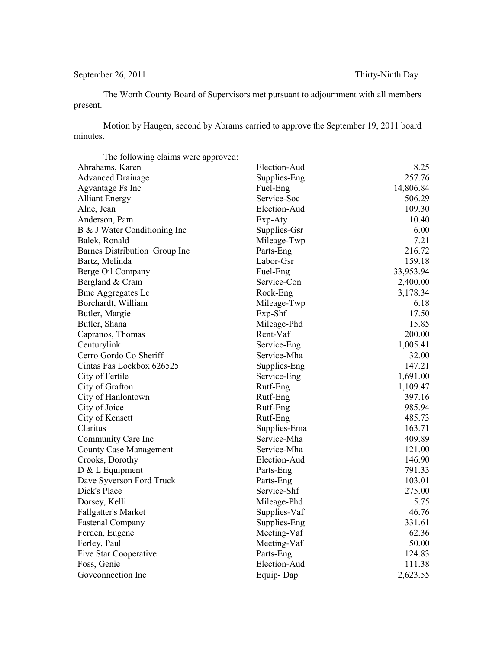## September 26, 2011 Thirty-Ninth Day

The Worth County Board of Supervisors met pursuant to adjournment with all members present.

Motion by Haugen, second by Abrams carried to approve the September 19, 2011 board minutes.

| The following claims were approved: |              |           |
|-------------------------------------|--------------|-----------|
| Abrahams, Karen                     | Election-Aud | 8.25      |
| <b>Advanced Drainage</b>            | Supplies-Eng | 257.76    |
| Agvantage Fs Inc                    | Fuel-Eng     | 14,806.84 |
| <b>Alliant Energy</b>               | Service-Soc  | 506.29    |
| Alne, Jean                          | Election-Aud | 109.30    |
| Anderson, Pam                       | Exp-Aty      | 10.40     |
| B & J Water Conditioning Inc        | Supplies-Gsr | 6.00      |
| Balek, Ronald                       | Mileage-Twp  | 7.21      |
| Barnes Distribution Group Inc       | Parts-Eng    | 216.72    |
| Bartz, Melinda                      | Labor-Gsr    | 159.18    |
| Berge Oil Company                   | Fuel-Eng     | 33,953.94 |
| Bergland & Cram                     | Service-Con  | 2,400.00  |
| <b>Bmc Aggregates Lc</b>            | Rock-Eng     | 3,178.34  |
| Borchardt, William                  | Mileage-Twp  | 6.18      |
| Butler, Margie                      | Exp-Shf      | 17.50     |
| Butler, Shana                       | Mileage-Phd  | 15.85     |
| Capranos, Thomas                    | Rent-Vaf     | 200.00    |
| Centurylink                         | Service-Eng  | 1,005.41  |
| Cerro Gordo Co Sheriff              | Service-Mha  | 32.00     |
| Cintas Fas Lockbox 626525           | Supplies-Eng | 147.21    |
| City of Fertile                     | Service-Eng  | 1,691.00  |
| City of Grafton                     | Rutf-Eng     | 1,109.47  |
| City of Hanlontown                  | Rutf-Eng     | 397.16    |
| City of Joice                       | Rutf-Eng     | 985.94    |
| City of Kensett                     | Rutf-Eng     | 485.73    |
| Claritus                            | Supplies-Ema | 163.71    |
| Community Care Inc                  | Service-Mha  | 409.89    |
| <b>County Case Management</b>       | Service-Mha  | 121.00    |
| Crooks, Dorothy                     | Election-Aud | 146.90    |
| D & L Equipment                     | Parts-Eng    | 791.33    |
| Dave Syverson Ford Truck            | Parts-Eng    | 103.01    |
| Dick's Place                        | Service-Shf  | 275.00    |
| Dorsey, Kelli                       | Mileage-Phd  | 5.75      |
| Fallgatter's Market                 | Supplies-Vaf | 46.76     |
| <b>Fastenal Company</b>             | Supplies-Eng | 331.61    |
| Ferden, Eugene                      | Meeting-Vaf  | 62.36     |
| Ferley, Paul                        | Meeting-Vaf  | 50.00     |
| Five Star Cooperative               | Parts-Eng    | 124.83    |
| Foss, Genie                         | Election-Aud | 111.38    |
| Goveonnection Inc                   | Equip-Dap    | 2,623.55  |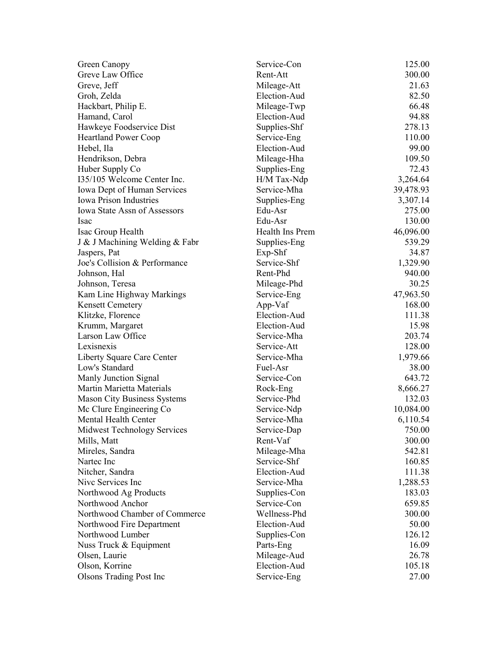| Green Canopy                        | Service-Con             | 125.00           |
|-------------------------------------|-------------------------|------------------|
| Greve Law Office                    | Rent-Att                | 300.00           |
| Greve, Jeff                         | Mileage-Att             | 21.63            |
| Groh, Zelda                         | Election-Aud            | 82.50            |
| Hackbart, Philip E.                 | Mileage-Twp             | 66.48            |
| Hamand, Carol                       | Election-Aud            | 94.88            |
| Hawkeye Foodservice Dist            | Supplies-Shf            | 278.13           |
| <b>Heartland Power Coop</b>         | Service-Eng             | 110.00           |
| Hebel, Ila                          | Election-Aud            | 99.00            |
| Hendrikson, Debra                   | Mileage-Hha             | 109.50           |
| Huber Supply Co                     | Supplies-Eng            | 72.43            |
| 135/105 Welcome Center Inc.         | H/M Tax-Ndp             | 3,264.64         |
| <b>Iowa Dept of Human Services</b>  | Service-Mha             | 39,478.93        |
| <b>Iowa Prison Industries</b>       | Supplies-Eng            | 3,307.14         |
| <b>Iowa State Assn of Assessors</b> | Edu-Asr                 | 275.00           |
| Isac                                | Edu-Asr                 | 130.00           |
| Isac Group Health                   | Health Ins Prem         | 46,096.00        |
| J & J Machining Welding & Fabr      | Supplies-Eng            | 539.29           |
| Jaspers, Pat                        | Exp-Shf                 | 34.87            |
| Joe's Collision & Performance       | Service-Shf             | 1,329.90         |
| Johnson, Hal                        | Rent-Phd                | 940.00           |
| Johnson, Teresa                     | Mileage-Phd             | 30.25            |
| Kam Line Highway Markings           | Service-Eng             | 47,963.50        |
| <b>Kensett Cemetery</b>             | App-Vaf                 | 168.00           |
| Klitzke, Florence                   | Election-Aud            | 111.38           |
| Krumm, Margaret                     | Election-Aud            | 15.98            |
| Larson Law Office                   | Service-Mha             | 203.74           |
| Lexisnexis                          | Service-Att             | 128.00           |
| Liberty Square Care Center          | Service-Mha             | 1,979.66         |
| Low's Standard                      | Fuel-Asr                | 38.00            |
| Manly Junction Signal               | Service-Con             | 643.72           |
| Martin Marietta Materials           | Rock-Eng                | 8,666.27         |
| <b>Mason City Business Systems</b>  | Service-Phd             | 132.03           |
| Mc Clure Engineering Co             | Service-Ndp             | 10,084.00        |
| Mental Health Center                | Service-Mha             | 6,110.54         |
|                                     |                         |                  |
| Midwest Technology Services         | Service-Dap<br>Rent-Vaf | 750.00<br>300.00 |
| Mills, Matt                         |                         |                  |
| Mireles, Sandra                     | Mileage-Mha             | 542.81           |
| Nartec Inc                          | Service-Shf             | 160.85           |
| Nitcher, Sandra                     | Election-Aud            | 111.38           |
| Nive Services Inc                   | Service-Mha             | 1,288.53         |
| Northwood Ag Products               | Supplies-Con            | 183.03           |
| Northwood Anchor                    | Service-Con             | 659.85           |
| Northwood Chamber of Commerce       | Wellness-Phd            | 300.00           |
| Northwood Fire Department           | Election-Aud            | 50.00            |
| Northwood Lumber                    | Supplies-Con            | 126.12           |
| Nuss Truck & Equipment              | Parts-Eng               | 16.09            |
| Olsen, Laurie                       | Mileage-Aud             | 26.78            |
| Olson, Korrine                      | Election-Aud            | 105.18           |
| <b>Olsons Trading Post Inc</b>      | Service-Eng             | 27.00            |